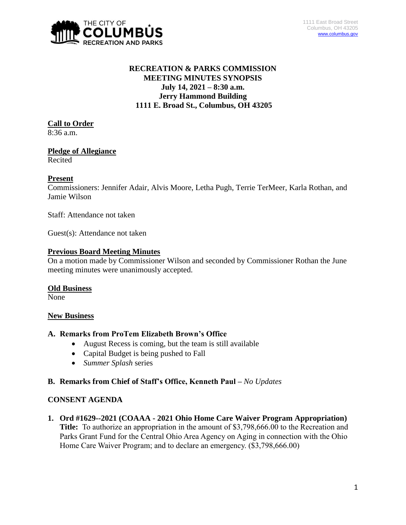

# **RECREATION & PARKS COMMISSION MEETING MINUTES SYNOPSIS July 14, 2021 – 8:30 a.m. Jerry Hammond Building 1111 E. Broad St., Columbus, OH 43205**

# **Call to Order**

8:36 a.m.

# **Pledge of Allegiance**

Recited

### **Present**

Commissioners: Jennifer Adair, Alvis Moore, Letha Pugh, Terrie TerMeer, Karla Rothan, and Jamie Wilson

Staff: Attendance not taken

Guest(s): Attendance not taken

# **Previous Board Meeting Minutes**

On a motion made by Commissioner Wilson and seconded by Commissioner Rothan the June meeting minutes were unanimously accepted.

#### **Old Business**

None

# **New Business**

# **A. Remarks from ProTem Elizabeth Brown's Office**

- August Recess is coming, but the team is still available
- Capital Budget is being pushed to Fall
- *Summer Splash* series

# **B. Remarks from Chief of Staff's Office, Kenneth Paul –** *No Updates*

# **CONSENT AGENDA**

**1. Ord #1629--2021 (COAAA - 2021 Ohio Home Care Waiver Program Appropriation) Title:** To authorize an appropriation in the amount of \$3,798,666.00 to the Recreation and Parks Grant Fund for the Central Ohio Area Agency on Aging in connection with the Ohio Home Care Waiver Program; and to declare an emergency. (\$3,798,666.00)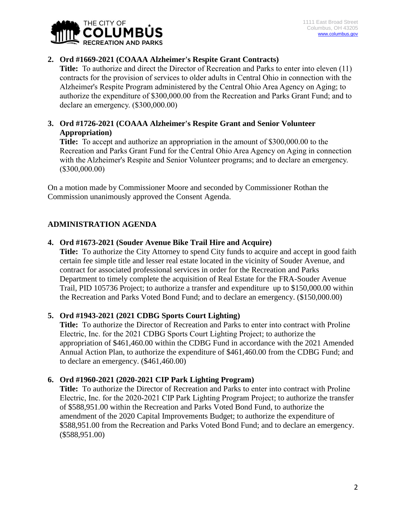

# **2. Ord #1669-2021 (COAAA Alzheimer's Respite Grant Contracts)**

**Title:** To authorize and direct the Director of Recreation and Parks to enter into eleven (11) contracts for the provision of services to older adults in Central Ohio in connection with the Alzheimer's Respite Program administered by the Central Ohio Area Agency on Aging; to authorize the expenditure of \$300,000.00 from the Recreation and Parks Grant Fund; and to declare an emergency. (\$300,000.00)

### **3. Ord #1726-2021 (COAAA Alzheimer's Respite Grant and Senior Volunteer Appropriation)**

**Title:** To accept and authorize an appropriation in the amount of \$300,000.00 to the Recreation and Parks Grant Fund for the Central Ohio Area Agency on Aging in connection with the Alzheimer's Respite and Senior Volunteer programs; and to declare an emergency. (\$300,000.00)

On a motion made by Commissioner Moore and seconded by Commissioner Rothan the Commission unanimously approved the Consent Agenda.

# **ADMINISTRATION AGENDA**

# **4. Ord #1673-2021 (Souder Avenue Bike Trail Hire and Acquire)**

**Title:** To authorize the City Attorney to spend City funds to acquire and accept in good faith certain fee simple title and lesser real estate located in the vicinity of Souder Avenue, and contract for associated professional services in order for the Recreation and Parks Department to timely complete the acquisition of Real Estate for the FRA-Souder Avenue Trail, PID 105736 Project; to authorize a transfer and expenditure up to \$150,000.00 within the Recreation and Parks Voted Bond Fund; and to declare an emergency. (\$150,000.00)

# **5. Ord #1943-2021 (2021 CDBG Sports Court Lighting)**

**Title:** To authorize the Director of Recreation and Parks to enter into contract with Proline Electric, Inc. for the 2021 CDBG Sports Court Lighting Project; to authorize the appropriation of \$461,460.00 within the CDBG Fund in accordance with the 2021 Amended Annual Action Plan, to authorize the expenditure of \$461,460.00 from the CDBG Fund; and to declare an emergency. (\$461,460.00)

#### **6. Ord #1960-2021 (2020-2021 CIP Park Lighting Program)**

**Title:** To authorize the Director of Recreation and Parks to enter into contract with Proline Electric, Inc. for the 2020-2021 CIP Park Lighting Program Project; to authorize the transfer of \$588,951.00 within the Recreation and Parks Voted Bond Fund, to authorize the amendment of the 2020 Capital Improvements Budget; to authorize the expenditure of \$588,951.00 from the Recreation and Parks Voted Bond Fund; and to declare an emergency. (\$588,951.00)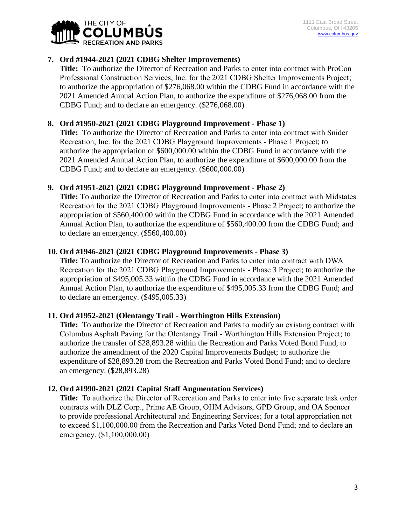

### **7. Ord #1944-2021 (2021 CDBG Shelter Improvements)**

**Title:** To authorize the Director of Recreation and Parks to enter into contract with ProCon Professional Construction Services, Inc. for the 2021 CDBG Shelter Improvements Project; to authorize the appropriation of \$276,068.00 within the CDBG Fund in accordance with the 2021 Amended Annual Action Plan, to authorize the expenditure of \$276,068.00 from the CDBG Fund; and to declare an emergency. (\$276,068.00)

### **8. Ord #1950-2021 (2021 CDBG Playground Improvement - Phase 1)**

**Title:** To authorize the Director of Recreation and Parks to enter into contract with Snider Recreation, Inc. for the 2021 CDBG Playground Improvements - Phase 1 Project; to authorize the appropriation of \$600,000.00 within the CDBG Fund in accordance with the 2021 Amended Annual Action Plan, to authorize the expenditure of \$600,000.00 from the CDBG Fund; and to declare an emergency. (\$600,000.00)

#### **9. Ord #1951-2021 (2021 CDBG Playground Improvement - Phase 2)**

**Title:** To authorize the Director of Recreation and Parks to enter into contract with Midstates Recreation for the 2021 CDBG Playground Improvements - Phase 2 Project; to authorize the appropriation of \$560,400.00 within the CDBG Fund in accordance with the 2021 Amended Annual Action Plan, to authorize the expenditure of \$560,400.00 from the CDBG Fund; and to declare an emergency. (\$560,400.00)

#### **10. Ord #1946-2021 (2021 CDBG Playground Improvements - Phase 3)**

**Title:** To authorize the Director of Recreation and Parks to enter into contract with DWA Recreation for the 2021 CDBG Playground Improvements - Phase 3 Project; to authorize the appropriation of \$495,005.33 within the CDBG Fund in accordance with the 2021 Amended Annual Action Plan, to authorize the expenditure of \$495,005.33 from the CDBG Fund; and to declare an emergency. (\$495,005.33)

#### **11. Ord #1952-2021 (Olentangy Trail - Worthington Hills Extension)**

**Title:** To authorize the Director of Recreation and Parks to modify an existing contract with Columbus Asphalt Paving for the Olentangy Trail - Worthington Hills Extension Project; to authorize the transfer of \$28,893.28 within the Recreation and Parks Voted Bond Fund, to authorize the amendment of the 2020 Capital Improvements Budget; to authorize the expenditure of \$28,893.28 from the Recreation and Parks Voted Bond Fund; and to declare an emergency. (\$28,893.28)

#### **12. Ord #1990-2021 (2021 Capital Staff Augmentation Services)**

**Title:** To authorize the Director of Recreation and Parks to enter into five separate task order contracts with DLZ Corp., Prime AE Group, OHM Advisors, GPD Group, and OA Spencer to provide professional Architectural and Engineering Services; for a total appropriation not to exceed \$1,100,000.00 from the Recreation and Parks Voted Bond Fund; and to declare an emergency. (\$1,100,000.00)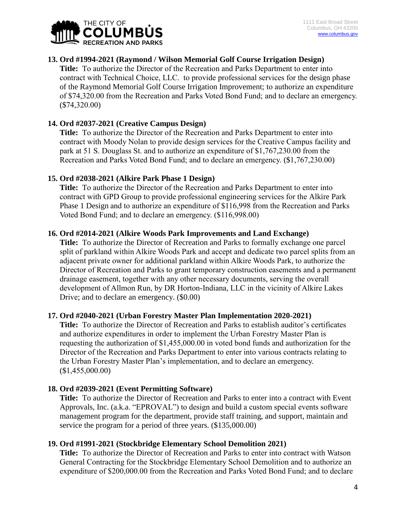

### **13. Ord #1994-2021 (Raymond / Wilson Memorial Golf Course Irrigation Design)**

**Title:** To authorize the Director of the Recreation and Parks Department to enter into contract with Technical Choice, LLC.to provide professional services for the design phase of the Raymond Memorial Golf Course Irrigation Improvement; to authorize an expenditure of \$74,320.00 from the Recreation and Parks Voted Bond Fund; and to declare an emergency. (\$74,320.00)

### **14. Ord #2037-2021 (Creative Campus Design)**

**Title:** To authorize the Director of the Recreation and Parks Department to enter into contract with Moody Nolan to provide design services for the Creative Campus facility and park at 51 S. Douglass St. and to authorize an expenditure of \$1,767,230.00 from the Recreation and Parks Voted Bond Fund; and to declare an emergency. (\$1,767,230.00)

### **15. Ord #2038-2021 (Alkire Park Phase 1 Design)**

**Title:** To authorize the Director of the Recreation and Parks Department to enter into contract with GPD Group to provide professional engineering services for the Alkire Park Phase 1 Design and to authorize an expenditure of \$116,998 from the Recreation and Parks Voted Bond Fund; and to declare an emergency. (\$116,998.00)

#### **16. Ord #2014-2021 (Alkire Woods Park Improvements and Land Exchange)**

**Title:** To authorize the Director of Recreation and Parks to formally exchange one parcel split of parkland within Alkire Woods Park and accept and dedicate two parcel splits from an adjacent private owner for additional parkland within Alkire Woods Park, to authorize the Director of Recreation and Parks to grant temporary construction easements and a permanent drainage easement, together with any other necessary documents, serving the overall development of Allmon Run, by DR Horton-Indiana, LLC in the vicinity of Alkire Lakes Drive; and to declare an emergency. (\$0.00)

#### **17. Ord #2040-2021 (Urban Forestry Master Plan Implementation 2020-2021)**

**Title:** To authorize the Director of Recreation and Parks to establish auditor's certificates and authorize expenditures in order to implement the Urban Forestry Master Plan is requesting the authorization of \$1,455,000.00 in voted bond funds and authorization for the Director of the Recreation and Parks Department to enter into various contracts relating to the Urban Forestry Master Plan's implementation, and to declare an emergency. (\$1,455,000.00)

#### **18. Ord #2039-2021 (Event Permitting Software)**

**Title:** To authorize the Director of Recreation and Parks to enter into a contract with Event Approvals, Inc. (a.k.a. "EPROVAL") to design and build a custom special events software management program for the department, provide staff training, and support, maintain and service the program for a period of three years. (\$135,000.00)

#### **19. Ord #1991-2021 (Stockbridge Elementary School Demolition 2021)**

**Title:** To authorize the Director of Recreation and Parks to enter into contract with Watson General Contracting for the Stockbridge Elementary School Demolition and to authorize an expenditure of \$200,000.00 from the Recreation and Parks Voted Bond Fund; and to declare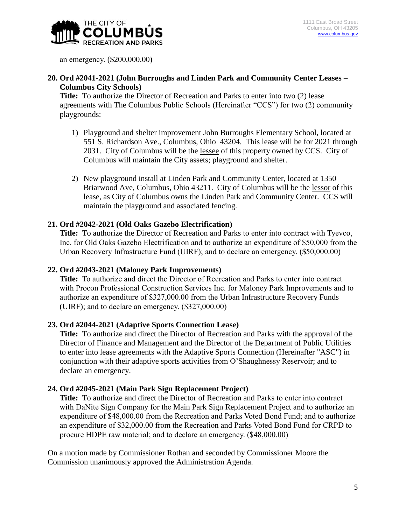

an emergency. (\$200,000.00)

# **20. Ord #2041-2021 (John Burroughs and Linden Park and Community Center Leases – Columbus City Schools)**

**Title:** To authorize the Director of Recreation and Parks to enter into two (2) lease agreements with The Columbus Public Schools (Hereinafter "CCS") for two (2) community playgrounds:

- 1) Playground and shelter improvement John Burroughs Elementary School, located at 551 S. Richardson Ave., Columbus, Ohio 43204. This lease will be for 2021 through 2031. City of Columbus will be the lessee of this property owned by CCS. City of Columbus will maintain the City assets; playground and shelter.
- 2) New playground install at Linden Park and Community Center, located at 1350 Briarwood Ave, Columbus, Ohio 43211. City of Columbus will be the lessor of this lease, as City of Columbus owns the Linden Park and Community Center. CCS will maintain the playground and associated fencing.

### **21. Ord #2042-2021 (Old Oaks Gazebo Electrification)**

**Title:** To authorize the Director of Recreation and Parks to enter into contract with Tyevco, Inc. for Old Oaks Gazebo Electrification and to authorize an expenditure of \$50,000 from the Urban Recovery Infrastructure Fund (UIRF); and to declare an emergency. (\$50,000.00)

#### **22. Ord #2043-2021 (Maloney Park Improvements)**

**Title:** To authorize and direct the Director of Recreation and Parks to enter into contract with Procon Professional Construction Services Inc. for Maloney Park Improvements and to authorize an expenditure of \$327,000.00 from the Urban Infrastructure Recovery Funds (UIRF); and to declare an emergency. (\$327,000.00)

#### **23. Ord #2044-2021 (Adaptive Sports Connection Lease)**

**Title:** To authorize and direct the Director of Recreation and Parks with the approval of the Director of Finance and Management and the Director of the Department of Public Utilities to enter into lease agreements with the Adaptive Sports Connection (Hereinafter "ASC") in conjunction with their adaptive sports activities from O'Shaughnessy Reservoir; and to declare an emergency.

#### **24. Ord #2045-2021 (Main Park Sign Replacement Project)**

**Title:** To authorize and direct the Director of Recreation and Parks to enter into contract with DaNite Sign Company for the Main Park Sign Replacement Project and to authorize an expenditure of \$48,000.00 from the Recreation and Parks Voted Bond Fund; and to authorize an expenditure of \$32,000.00 from the Recreation and Parks Voted Bond Fund for CRPD to procure HDPE raw material; and to declare an emergency. (\$48,000.00)

On a motion made by Commissioner Rothan and seconded by Commissioner Moore the Commission unanimously approved the Administration Agenda.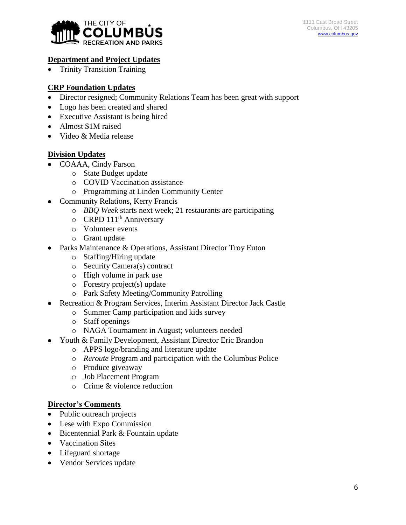

# **Department and Project Updates**

• Trinity Transition Training

# **CRP Foundation Updates**

- Director resigned; Community Relations Team has been great with support
- Logo has been created and shared
- Executive Assistant is being hired
- Almost \$1M raised
- Video & Media release

### **Division Updates**

- COAAA, Cindy Farson
	- o State Budget update
	- o COVID Vaccination assistance
	- o Programming at Linden Community Center
- Community Relations, Kerry Francis
	- o *BBQ Week* starts next week; 21 restaurants are participating
	- $\circ$  CRPD 111<sup>th</sup> Anniversary
	- o Volunteer events
	- o Grant update
- Parks Maintenance & Operations, Assistant Director Troy Euton
	- o Staffing/Hiring update
	- o Security Camera(s) contract
	- o High volume in park use
	- o Forestry project(s) update
	- o Park Safety Meeting/Community Patrolling
- Recreation & Program Services, Interim Assistant Director Jack Castle
	- o Summer Camp participation and kids survey
	- o Staff openings
	- o NAGA Tournament in August; volunteers needed
- Youth & Family Development, Assistant Director Eric Brandon
	- o APPS logo/branding and literature update
	- o *Reroute* Program and participation with the Columbus Police
	- o Produce giveaway
	- o Job Placement Program
	- o Crime & violence reduction

# **Director's Comments**

- Public outreach projects
- Lese with Expo Commission
- Bicentennial Park & Fountain update
- Vaccination Sites
- Lifeguard shortage
- Vendor Services update